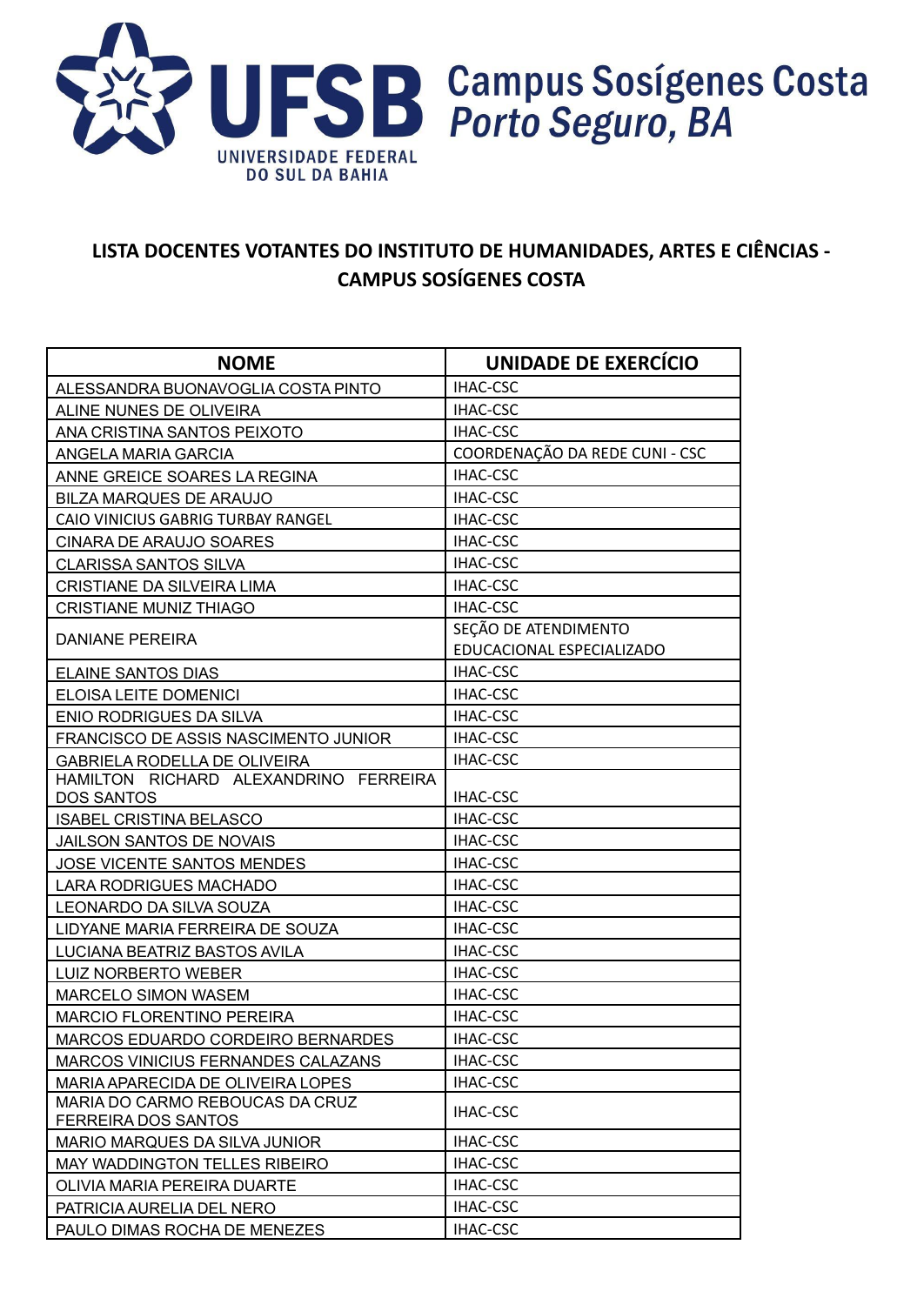

## **LISTA DOCENTES VOTANTES DO INSTITUTO DE HUMANIDADES, ARTES E CIÊNCIAS - CAMPUS SOSÍGENES COSTA**

| <b>NOME</b>                                            | UNIDADE DE EXERCÍCIO           |
|--------------------------------------------------------|--------------------------------|
| ALESSANDRA BUONAVOGLIA COSTA PINTO                     | <b>IHAC-CSC</b>                |
| ALINE NUNES DE OLIVEIRA                                | IHAC-CSC                       |
| ANA CRISTINA SANTOS PEIXOTO                            | IHAC-CSC                       |
| ANGELA MARIA GARCIA                                    | COORDENAÇÃO DA REDE CUNI - CSC |
| ANNE GREICE SOARES LA REGINA                           | <b>IHAC-CSC</b>                |
| BILZA MARQUES DE ARAUJO                                | IHAC-CSC                       |
| CAIO VINICIUS GABRIG TURBAY RANGEL                     | IHAC-CSC                       |
| CINARA DE ARAUJO SOARES                                | <b>IHAC-CSC</b>                |
| <b>CLARISSA SANTOS SILVA</b>                           | <b>IHAC-CSC</b>                |
| <b>CRISTIANE DA SILVEIRA LIMA</b>                      | IHAC-CSC                       |
| <b>CRISTIANE MUNIZ THIAGO</b>                          | <b>IHAC-CSC</b>                |
| <b>DANIANE PEREIRA</b>                                 | SEÇÃO DE ATENDIMENTO           |
|                                                        | EDUCACIONAL ESPECIALIZADO      |
| <b>ELAINE SANTOS DIAS</b>                              | IHAC-CSC                       |
| ELOISA LEITE DOMENICI                                  | IHAC-CSC                       |
| ENIO RODRIGUES DA SILVA                                | <b>IHAC-CSC</b>                |
| FRANCISCO DE ASSIS NASCIMENTO JUNIOR                   | IHAC-CSC                       |
| <b>GABRIELA RODELLA DE OLIVEIRA</b>                    | <b>IHAC-CSC</b>                |
| HAMILTON RICHARD ALEXANDRINO FERREIRA                  |                                |
| DOS SANTOS                                             | IHAC-CSC                       |
| <b>ISABEL CRISTINA BELASCO</b>                         | IHAC-CSC                       |
| JAILSON SANTOS DE NOVAIS                               | <b>IHAC-CSC</b>                |
| JOSE VICENTE SANTOS MENDES                             | IHAC-CSC                       |
| <b>LARA RODRIGUES MACHADO</b>                          | <b>IHAC-CSC</b>                |
| LEONARDO DA SILVA SOUZA                                | <b>IHAC-CSC</b>                |
| LIDYANE MARIA FERREIRA DE SOUZA                        | IHAC-CSC                       |
| LUCIANA BEATRIZ BASTOS AVILA                           | IHAC-CSC                       |
| LUIZ NORBERTO WEBER                                    | <b>IHAC-CSC</b>                |
| <b>MARCELO SIMON WASEM</b>                             | <b>IHAC-CSC</b>                |
| <b>MARCIO FLORENTINO PEREIRA</b>                       | <b>IHAC-CSC</b>                |
| MARCOS EDUARDO CORDEIRO BERNARDES                      | <b>IHAC-CSC</b>                |
| MARCOS VINICIUS FERNANDES CALAZANS                     | IHAC-CSC                       |
| MARIA APARECIDA DE OLIVEIRA LOPES                      | IHAC-CSC                       |
| MARIA DO CARMO REBOUCAS DA CRUZ<br>FERREIRA DOS SANTOS | <b>IHAC-CSC</b>                |
| MARIO MARQUES DA SILVA JUNIOR                          | IHAC-CSC                       |
| MAY WADDINGTON TELLES RIBEIRO                          | IHAC-CSC                       |
| OLIVIA MARIA PEREIRA DUARTE                            | IHAC-CSC                       |
| PATRICIA AURELIA DEL NERO                              | IHAC-CSC                       |
| PAULO DIMAS ROCHA DE MENEZES                           | IHAC-CSC                       |